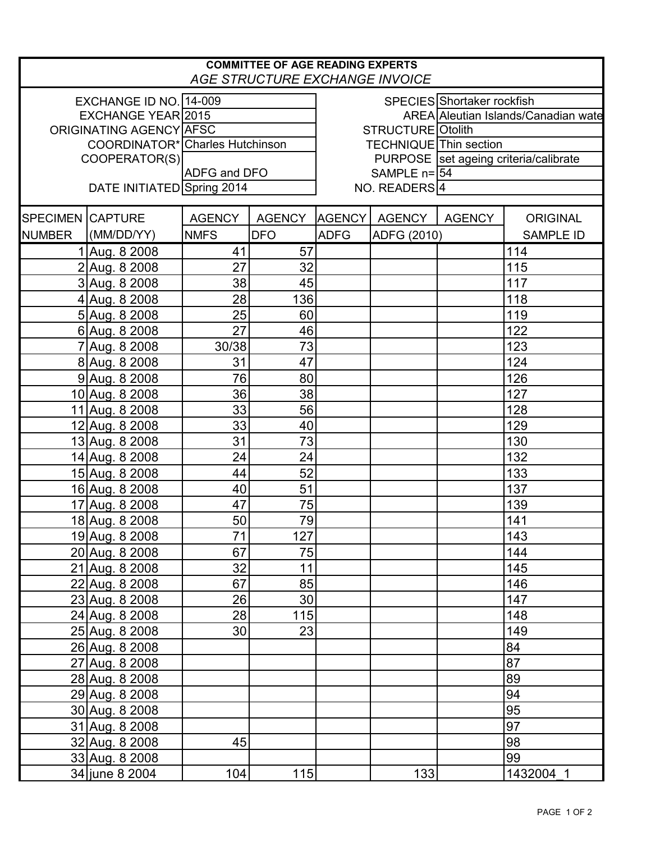| <b>COMMITTEE OF AGE READING EXPERTS</b><br><b>AGE STRUCTURE EXCHANGE INVOICE</b> |                                 |                               |               |                                         |               |               |                  |  |  |  |  |
|----------------------------------------------------------------------------------|---------------------------------|-------------------------------|---------------|-----------------------------------------|---------------|---------------|------------------|--|--|--|--|
|                                                                                  | EXCHANGE ID NO. 14-009          |                               |               | SPECIES Shortaker rockfish              |               |               |                  |  |  |  |  |
|                                                                                  | EXCHANGE YEAR 2015              |                               |               | AREA Aleutian Islands/Canadian wate     |               |               |                  |  |  |  |  |
|                                                                                  | ORIGINATING AGENCY AFSC         |                               |               | STRUCTURE Otolith                       |               |               |                  |  |  |  |  |
|                                                                                  | COORDINATOR* Charles Hutchinson | <b>TECHNIQUE</b> Thin section |               |                                         |               |               |                  |  |  |  |  |
|                                                                                  | COOPERATOR(S)                   |                               |               | PURPOSE   set ageing criteria/calibrate |               |               |                  |  |  |  |  |
|                                                                                  |                                 | ADFG and DFO                  |               | SAMPLE $n = 54$                         |               |               |                  |  |  |  |  |
|                                                                                  | DATE INITIATED Spring 2014      |                               |               | NO. READERS <sup>4</sup>                |               |               |                  |  |  |  |  |
| <b>SPECIMEN CAPTURE</b>                                                          |                                 | <b>AGENCY</b>                 | <b>AGENCY</b> | <b>AGENCY</b>                           | <b>AGENCY</b> | <b>AGENCY</b> | <b>ORIGINAL</b>  |  |  |  |  |
| <b>NUMBER</b>                                                                    | (MM/DD/YY)                      | <b>NMFS</b>                   | <b>DFO</b>    | <b>ADFG</b>                             | ADFG (2010)   |               | <b>SAMPLE ID</b> |  |  |  |  |
|                                                                                  | 1 Aug. 8 2008                   | 41                            | 57            |                                         |               |               | 114              |  |  |  |  |
|                                                                                  | 2 Aug. 8 2008                   | 27                            | 32            |                                         |               |               | 115              |  |  |  |  |
|                                                                                  | 3 Aug. 8 2008                   | 38                            | 45            |                                         |               |               | 117              |  |  |  |  |
|                                                                                  | 4 Aug. 8 2008                   | 28                            | 136           |                                         |               |               | 118              |  |  |  |  |
|                                                                                  | 5 Aug. 8 2008                   | 25                            | 60            |                                         |               |               | 119              |  |  |  |  |
|                                                                                  | 6 Aug. 8 2008                   | 27                            | 46            |                                         |               |               | 122              |  |  |  |  |
|                                                                                  | 7 Aug. 8 2008                   | 30/38                         | 73            |                                         |               |               | 123              |  |  |  |  |
|                                                                                  | 8 Aug. 8 2008                   | 31                            | 47            |                                         |               |               | 124              |  |  |  |  |
|                                                                                  | 9 Aug. 8 2008                   | 76                            | 80            |                                         |               |               | 126              |  |  |  |  |
|                                                                                  | 10 Aug. 8 2008                  | 36                            | 38            |                                         |               |               | 127              |  |  |  |  |
|                                                                                  | 11 Aug. 8 2008                  | 33                            | 56            |                                         |               |               | 128              |  |  |  |  |
|                                                                                  | 12 Aug. 8 2008                  | 33                            | 40            |                                         |               |               | 129              |  |  |  |  |
|                                                                                  | 13 Aug. 8 2008                  | 31                            | 73            |                                         |               |               | 130              |  |  |  |  |
|                                                                                  | 14 Aug. 8 2008                  | 24                            | 24            |                                         |               |               | 132              |  |  |  |  |
|                                                                                  | 15 Aug. 8 2008                  | 44                            | 52            |                                         |               |               | 133              |  |  |  |  |
|                                                                                  | 16 Aug. 8 2008                  | 40                            | 51            |                                         |               |               | 137              |  |  |  |  |
|                                                                                  | 17 Aug. 8 2008                  | 47                            | 75            |                                         |               |               | 139              |  |  |  |  |
|                                                                                  | 18 Aug. 8 2008                  | 50                            | 79            |                                         |               |               | 141              |  |  |  |  |
|                                                                                  | 19 Aug. 8 2008                  | 71                            | 127           |                                         |               |               | 143              |  |  |  |  |
|                                                                                  | 20 Aug. 8 2008                  | 67                            | 75            |                                         |               |               | 144              |  |  |  |  |
|                                                                                  | 21 Aug. 8 2008                  | 32                            | 11            |                                         |               |               | 145              |  |  |  |  |
|                                                                                  | 22 Aug. 8 2008                  | 67                            | 85            |                                         |               |               | 146              |  |  |  |  |
|                                                                                  | 23 Aug. 8 2008                  | 26                            | 30            |                                         |               |               | 147              |  |  |  |  |
|                                                                                  | 24 Aug. 8 2008                  | 28                            | 115           |                                         |               |               | 148              |  |  |  |  |
|                                                                                  | 25 Aug. 8 2008                  | 30                            | 23            |                                         |               |               | 149              |  |  |  |  |
|                                                                                  | 26 Aug. 8 2008                  |                               |               |                                         |               |               | 84               |  |  |  |  |
|                                                                                  | 27 Aug. 8 2008                  |                               |               |                                         |               |               | 87               |  |  |  |  |
|                                                                                  | 28 Aug. 8 2008                  |                               |               |                                         |               |               | 89               |  |  |  |  |
|                                                                                  | 29 Aug. 8 2008                  |                               |               |                                         |               |               | 94               |  |  |  |  |
|                                                                                  | 30 Aug. 8 2008                  |                               |               |                                         |               |               | 95               |  |  |  |  |
|                                                                                  | 31 Aug. 8 2008                  |                               |               |                                         |               |               | 97               |  |  |  |  |
|                                                                                  | 32 Aug. 8 2008                  | 45                            |               |                                         |               |               | 98               |  |  |  |  |
|                                                                                  | 33 Aug. 8 2008                  |                               |               |                                         |               |               | 99               |  |  |  |  |
|                                                                                  | 34 june 8 2004                  | 104                           | 115           |                                         | 133           |               | 1432004 1        |  |  |  |  |